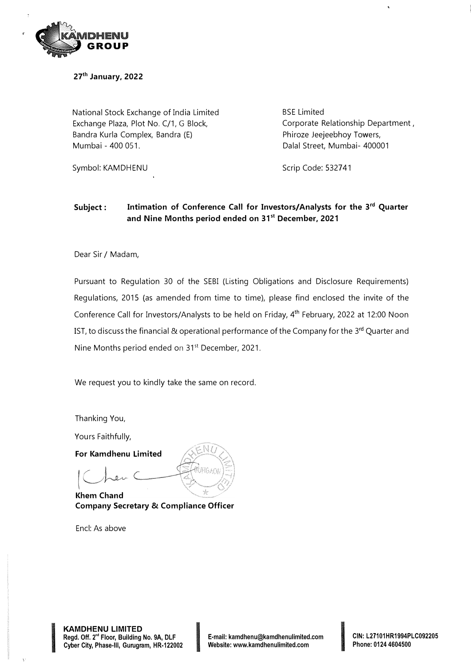

**27th January, 2022** 

National Stock Exchange of India Limited Exchange Plaza, Plot No. C/1, G Block, Bandra Kurla Complex, Bandra (E) Mumbai - 400 051.

Symbol: KAMDHENU

BSE Limited Corporate Relationship Department , Phiroze Jeejeebhoy Towers, Dalal Street, Mumbai- 400001

Scrip Code: 532741

#### **Subject: Intimation of Conference Call for Investors/Analysts for the 3 rd Quarter and Nine Months period ended on 31 st December, 2021**

Dear Sir / Madam,

Pursuant to Regulation 30 of the SEBI (Listing Obligations and Disclosure Requirements) Regulations, 2015 (as amended from time to time), please find enclosed the invite of the Conference Call for Investors/Analysts to be held on Friday, 4<sup>th</sup> February, 2022 at 12:00 Noon IST, to discuss the financial & operational performance of the Company for the 3<sup>rd</sup> Quarter and Nine Months period ended on 31<sup>st</sup> December, 2021.

We request you to kindly take the same on record.

Thanking You,

Yours Faithfully,

**For Kamdhenu Limited** 

**Khem Chand Company Secretary & Compliance Officer** 

Encl: As above

**INTERNATIONAL SERVICES** 

**KAMDHENU LIMITED Regd. Off. 2"' Floor, Building No. 9A, DLF CAMDHENU LIMITED<br>Regd. Off. 2™ Floor, Building No. 9A, DLF Film Letter Limail: kamdhenu@kamdhenulimited.com<br>Cyber City, Phase-III, Gurugram, HR-122002 Website: www.kamdhenulimited.com** 

**CIN: L27101HR1994PLC092205 Phone: 0124 4604500**